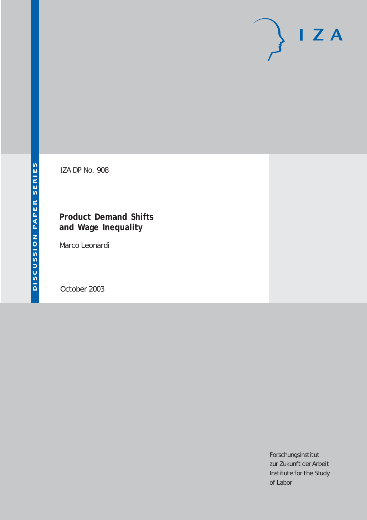# $I Z A$

IZA DP No. 908

### **Product Demand Shifts and Wage Inequality**

Marco Leonardi

October 2003

Forschungsinstitut zur Zukunft der Arbeit Institute for the Study of Labor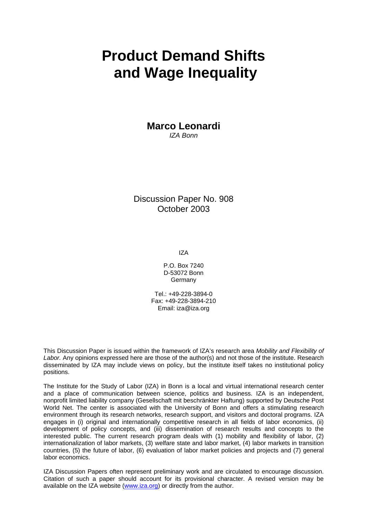## **Product Demand Shifts and Wage Inequality**

**Marco Leonardi**  *IZA Bonn*

Discussion Paper No. 908 October 2003

IZA

P.O. Box 7240 D-53072 Bonn Germany

Tel.: +49-228-3894-0 Fax: +49-228-3894-210 Email: [iza@iza.org](mailto:iza@iza.org)

This Discussion Paper is issued within the framework of IZA's research area *Mobility and Flexibility of Labor.* Any opinions expressed here are those of the author(s) and not those of the institute. Research disseminated by IZA may include views on policy, but the institute itself takes no institutional policy positions.

The Institute for the Study of Labor (IZA) in Bonn is a local and virtual international research center and a place of communication between science, politics and business. IZA is an independent, nonprofit limited liability company (Gesellschaft mit beschränkter Haftung) supported by Deutsche Post World Net. The center is associated with the University of Bonn and offers a stimulating research environment through its research networks, research support, and visitors and doctoral programs. IZA engages in (i) original and internationally competitive research in all fields of labor economics, (ii) development of policy concepts, and (iii) dissemination of research results and concepts to the interested public. The current research program deals with (1) mobility and flexibility of labor, (2) internationalization of labor markets, (3) welfare state and labor market, (4) labor markets in transition countries, (5) the future of labor, (6) evaluation of labor market policies and projects and (7) general labor economics.

IZA Discussion Papers often represent preliminary work and are circulated to encourage discussion. Citation of such a paper should account for its provisional character. A revised version may be available on the IZA website ([www.iza.org](http://www.iza.org/)) or directly from the author.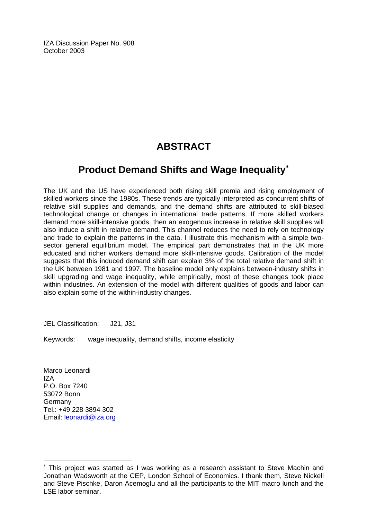IZA Discussion Paper No. 908 October 2003

## **ABSTRACT**

## **Product Demand Shifts and Wage Inequality**[∗](#page-2-0)

The UK and the US have experienced both rising skill premia and rising employment of skilled workers since the 1980s. These trends are typically interpreted as concurrent shifts of relative skill supplies and demands, and the demand shifts are attributed to skill-biased technological change or changes in international trade patterns. If more skilled workers demand more skill-intensive goods, then an exogenous increase in relative skill supplies will also induce a shift in relative demand. This channel reduces the need to rely on technology and trade to explain the patterns in the data. I illustrate this mechanism with a simple twosector general equilibrium model. The empirical part demonstrates that in the UK more educated and richer workers demand more skill-intensive goods. Calibration of the model suggests that this induced demand shift can explain 3% of the total relative demand shift in the UK between 1981 and 1997. The baseline model only explains between-industry shifts in skill upgrading and wage inequality, while empirically, most of these changes took place within industries. An extension of the model with different qualities of goods and labor can also explain some of the within-industry changes.

JEL Classification: J21, J31

Keywords: wage inequality, demand shifts, income elasticity

Marco Leonardi IZA P.O. Box 7240 53072 Bonn Germany Tel.: +49 228 3894 302 Email: [leonardi@iza.org](mailto:leonardi@iza.org)

 $\overline{a}$ 

<span id="page-2-0"></span><sup>∗</sup> This project was started as I was working as a research assistant to Steve Machin and Jonathan Wadsworth at the CEP, London School of Economics. I thank them, Steve Nickell and Steve Pischke, Daron Acemoglu and all the participants to the MIT macro lunch and the LSE labor seminar.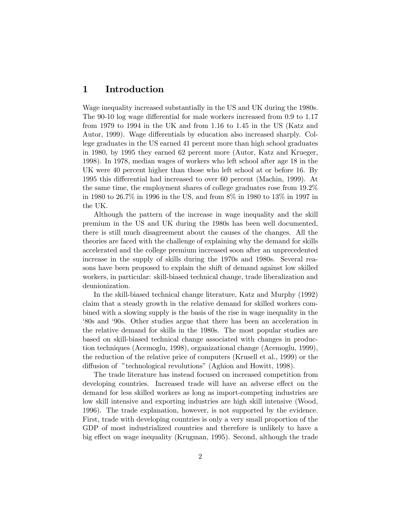#### 1 Introduction

Wage inequality increased substantially in the US and UK during the 1980s. The 90-10 log wage differential for male workers increased from 0.9 to 1.17 from 1979 to 1994 in the UK and from 1.16 to 1.45 in the US (Katz and Autor, 1999). Wage differentials by education also increased sharply. College graduates in the US earned 41 percent more than high school graduates in 1980, by 1995 they earned 62 percent more (Autor, Katz and Krueger, 1998). In 1978, median wages of workers who left school after age 18 in the UK were 40 percent higher than those who left school at or before 16. By 1995 this differential had increased to over 60 percent (Machin, 1999). At the same time, the employment shares of college graduates rose from 19.2% in 1980 to 26.7% in 1996 in the US, and from 8% in 1980 to 13% in 1997 in the UK.

Although the pattern of the increase in wage inequality and the skill premium in the US and UK during the 1980s has been well documented, there is still much disagreement about the causes of the changes. All the theories are faced with the challenge of explaining why the demand for skills accelerated and the college premium increased soon after an unprecedented increase in the supply of skills during the 1970s and 1980s. Several reasons have been proposed to explain the shift of demand against low skilled workers, in particular: skill-biased technical change, trade liberalization and deunionization.

In the skill-biased technical change literature, Katz and Murphy (1992) claim that a steady growth in the relative demand for skilled workers combined with a slowing supply is the basis of the rise in wage inequality in the '80s and '90s. Other studies argue that there has been an acceleration in the relative demand for skills in the 1980s. The most popular studies are based on skill-biased technical change associated with changes in production techniques (Acemoglu, 1998), organizational change (Acemoglu, 1999), the reduction of the relative price of computers (Krusell et al., 1999) or the diffusion of "technological revolutions" (Aghion and Howitt, 1998).

The trade literature has instead focused on increased competition from developing countries. Increased trade will have an adverse effect on the demand for less skilled workers as long as import-competing industries are low skill intensive and exporting industries are high skill intensive (Wood, 1996). The trade explanation, however, is not supported by the evidence. First, trade with developing countries is only a very small proportion of the GDP of most industrialized countries and therefore is unlikely to have a big effect on wage inequality (Krugman, 1995). Second, although the trade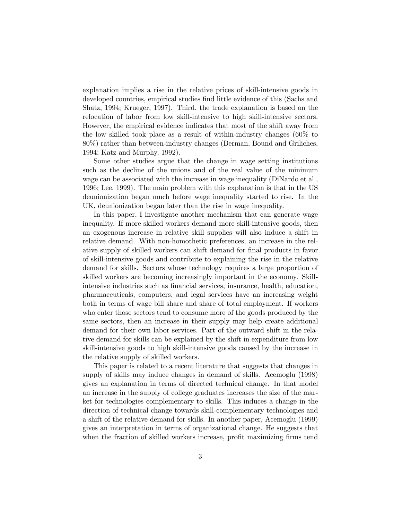explanation implies a rise in the relative prices of skill-intensive goods in developed countries, empirical studies find little evidence of this (Sachs and Shatz, 1994; Krueger, 1997). Third, the trade explanation is based on the relocation of labor from low skill-intensive to high skill-intensive sectors. However, the empirical evidence indicates that most of the shift away from the low skilled took place as a result of within-industry changes (60% to 80%) rather than between-industry changes (Berman, Bound and Griliches, 1994; Katz and Murphy, 1992).

Some other studies argue that the change in wage setting institutions such as the decline of the unions and of the real value of the minimum wage can be associated with the increase in wage inequality (DiNardo et al., 1996; Lee, 1999). The main problem with this explanation is that in the US deunionization began much before wage inequality started to rise. In the UK, deunionization began later than the rise in wage inequality.

In this paper, I investigate another mechanism that can generate wage inequality. If more skilled workers demand more skill-intensive goods, then an exogenous increase in relative skill supplies will also induce a shift in relative demand. With non-homothetic preferences, an increase in the relative supply of skilled workers can shift demand for final products in favor of skill-intensive goods and contribute to explaining the rise in the relative demand for skills. Sectors whose technology requires a large proportion of skilled workers are becoming increasingly important in the economy. Skillintensive industries such as financial services, insurance, health, education, pharmaceuticals, computers, and legal services have an increasing weight both in terms of wage bill share and share of total employment. If workers who enter those sectors tend to consume more of the goods produced by the same sectors, then an increase in their supply may help create additional demand for their own labor services. Part of the outward shift in the relative demand for skills can be explained by the shift in expenditure from low skill-intensive goods to high skill-intensive goods caused by the increase in the relative supply of skilled workers.

This paper is related to a recent literature that suggests that changes in supply of skills may induce changes in demand of skills. Acemoglu (1998) gives an explanation in terms of directed technical change. In that model an increase in the supply of college graduates increases the size of the market for technologies complementary to skills. This induces a change in the direction of technical change towards skill-complementary technologies and a shift of the relative demand for skills. In another paper, Acemoglu (1999) gives an interpretation in terms of organizational change. He suggests that when the fraction of skilled workers increase, profit maximizing firms tend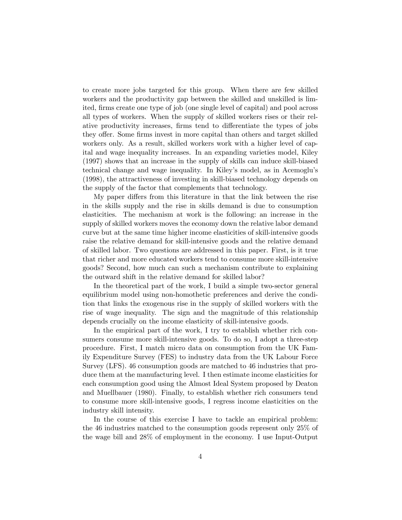to create more jobs targeted for this group. When there are few skilled workers and the productivity gap between the skilled and unskilled is limited, firms create one type of job (one single level of capital) and pool across all types of workers. When the supply of skilled workers rises or their relative productivity increases, firms tend to differentiate the types of jobs they offer. Some firms invest in more capital than others and target skilled workers only. As a result, skilled workers work with a higher level of capital and wage inequality increases. In an expanding varieties model, Kiley (1997) shows that an increase in the supply of skills can induce skill-biased technical change and wage inequality. In Kiley's model, as in Acemoglu's (1998), the attractiveness of investing in skill-biased technology depends on the supply of the factor that complements that technology.

My paper differs from this literature in that the link between the rise in the skills supply and the rise in skills demand is due to consumption elasticities. The mechanism at work is the following: an increase in the supply of skilled workers moves the economy down the relative labor demand curve but at the same time higher income elasticities of skill-intensive goods raise the relative demand for skill-intensive goods and the relative demand of skilled labor. Two questions are addressed in this paper. First, is it true that richer and more educated workers tend to consume more skill-intensive goods? Second, how much can such a mechanism contribute to explaining the outward shift in the relative demand for skilled labor?

In the theoretical part of the work, I build a simple two-sector general equilibrium model using non-homothetic preferences and derive the condition that links the exogenous rise in the supply of skilled workers with the rise of wage inequality. The sign and the magnitude of this relationship depends crucially on the income elasticity of skill-intensive goods.

In the empirical part of the work, I try to establish whether rich consumers consume more skill-intensive goods. To do so, I adopt a three-step procedure. First, I match micro data on consumption from the UK Family Expenditure Survey (FES) to industry data from the UK Labour Force Survey (LFS). 46 consumption goods are matched to 46 industries that produce them at the manufacturing level. I then estimate income elasticities for each consumption good using the Almost Ideal System proposed by Deaton and Muellbauer (1980). Finally, to establish whether rich consumers tend to consume more skill-intensive goods, I regress income elasticities on the industry skill intensity.

In the course of this exercise I have to tackle an empirical problem: the 46 industries matched to the consumption goods represent only 25% of the wage bill and 28% of employment in the economy. I use Input-Output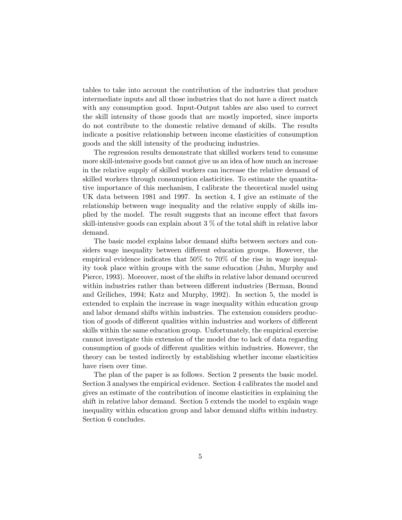tables to take into account the contribution of the industries that produce intermediate inputs and all those industries that do not have a direct match with any consumption good. Input-Output tables are also used to correct the skill intensity of those goods that are mostly imported, since imports do not contribute to the domestic relative demand of skills. The results indicate a positive relationship between income elasticities of consumption goods and the skill intensity of the producing industries.

The regression results demonstrate that skilled workers tend to consume more skill-intensive goods but cannot give us an idea of how much an increase in the relative supply of skilled workers can increase the relative demand of skilled workers through consumption elasticities. To estimate the quantitative importance of this mechanism, I calibrate the theoretical model using UK data between 1981 and 1997. In section 4, I give an estimate of the relationship between wage inequality and the relative supply of skills implied by the model. The result suggests that an income effect that favors skill-intensive goods can explain about 3 % of the total shift in relative labor demand.

The basic model explains labor demand shifts between sectors and considers wage inequality between different education groups. However, the empirical evidence indicates that 50% to 70% of the rise in wage inequality took place within groups with the same education (Juhn, Murphy and Pierce, 1993). Moreover, most of the shifts in relative labor demand occurred within industries rather than between different industries (Berman, Bound and Griliches, 1994; Katz and Murphy, 1992). In section 5, the model is extended to explain the increase in wage inequality within education group and labor demand shifts within industries. The extension considers production of goods of different qualities within industries and workers of different skills within the same education group. Unfortunately, the empirical exercise cannot investigate this extension of the model due to lack of data regarding consumption of goods of different qualities within industries. However, the theory can be tested indirectly by establishing whether income elasticities have risen over time.

The plan of the paper is as follows. Section 2 presents the basic model. Section 3 analyses the empirical evidence. Section 4 calibrates the model and gives an estimate of the contribution of income elasticities in explaining the shift in relative labor demand. Section 5 extends the model to explain wage inequality within education group and labor demand shifts within industry. Section 6 concludes.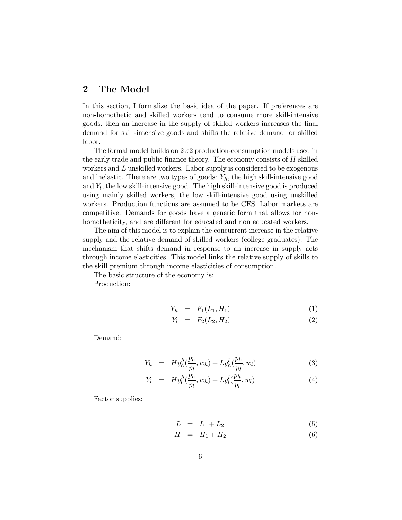#### 2 The Model

In this section, I formalize the basic idea of the paper. If preferences are non-homothetic and skilled workers tend to consume more skill-intensive goods, then an increase in the supply of skilled workers increases the final demand for skill-intensive goods and shifts the relative demand for skilled labor.

The formal model builds on  $2\times 2$  production-consumption models used in the early trade and public finance theory. The economy consists of  $H$  skilled workers and L unskilled workers. Labor supply is considered to be exogenous and inelastic. There are two types of goods:  $Y_h$ , the high skill-intensive good and  $Y_l$ , the low skill-intensive good. The high skill-intensive good is produced using mainly skilled workers, the low skill-intensive good using unskilled workers. Production functions are assumed to be CES. Labor markets are competitive. Demands for goods have a generic form that allows for nonhomotheticity, and are different for educated and non educated workers.

The aim of this model is to explain the concurrent increase in the relative supply and the relative demand of skilled workers (college graduates). The mechanism that shifts demand in response to an increase in supply acts through income elasticities. This model links the relative supply of skills to the skill premium through income elasticities of consumption.

The basic structure of the economy is:

Production:

$$
Y_h = F_1(L_1, H_1) \tag{1}
$$

$$
Y_l = F_2(L_2, H_2) \tag{2}
$$

Demand:

$$
Y_h = H y_h^h(\frac{p_h}{p_l}, w_h) + L y_h^l(\frac{p_h}{p_l}, w_l)
$$
\n(3)

$$
Y_l = H y_l^h(\frac{p_h}{p_l}, w_h) + L y_l^l(\frac{p_h}{p_l}, w_l)
$$
\n
$$
(4)
$$

Factor supplies:

$$
L = L_1 + L_2 \tag{5}
$$

$$
H = H_1 + H_2 \tag{6}
$$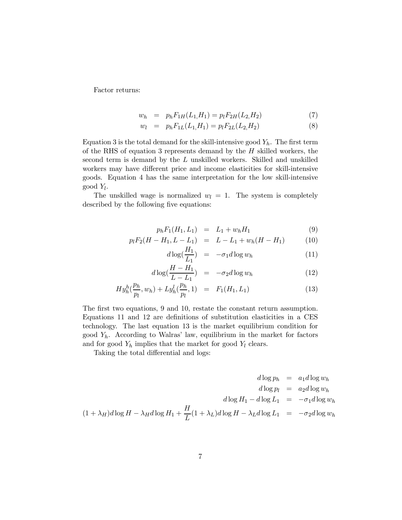Factor returns:

$$
w_h = p_h F_{1H}(L_1, H_1) = p_l F_{2H}(L_2, H_2)
$$
\n<sup>(7)</sup>

$$
w_l = p_h F_{1L}(L_1, H_1) = p_l F_{2L}(L_2, H_2)
$$
\n(8)

Equation 3 is the total demand for the skill-intensive good  $Y_h$ . The first term of the RHS of equation 3 represents demand by the  $H$  skilled workers, the second term is demand by the L unskilled workers. Skilled and unskilled workers may have different price and income elasticities for skill-intensive goods. Equation 4 has the same interpretation for the low skill-intensive good  $Y_l$ .

The unskilled wage is normalized  $w_l = 1$ . The system is completely described by the following five equations:

$$
p_h F_1(H_1, L_1) = L_1 + w_h H_1 \tag{9}
$$

$$
p_l F_2(H - H_1, L - L_1) = L - L_1 + w_h(H - H_1)
$$
 (10)

$$
d\log(\frac{H_1}{L_1}) = -\sigma_1 d\log w_h \tag{11}
$$

$$
d\log(\frac{H - H_1}{L - L_1}) = -\sigma_2 d \log w_h \tag{12}
$$

$$
Hy_{h}^{h}(\frac{p_{h}}{p_{l}}, w_{h}) + Ly_{h}^{l}(\frac{p_{h}}{p_{l}}, 1) = F_{1}(H_{1}, L_{1}) \qquad (13)
$$

The first two equations, 9 and 10, restate the constant return assumption. Equations 11 and 12 are definitions of substitution elasticities in a CES technology. The last equation 13 is the market equilibrium condition for good  $Y_h$ . According to Walras' law, equilibrium in the market for factors and for good  $Y_h$  implies that the market for good  $Y_l$  clears.

Taking the total differential and logs:

$$
d \log p_h = a_1 d \log w_h
$$
  
\n
$$
d \log p_l = a_2 d \log w_h
$$
  
\n
$$
d \log H_1 - d \log L_1 = -\sigma_1 d \log w_h
$$
  
\n
$$
(1 + \lambda_H) d \log H - \lambda_H d \log H_1 + \frac{H}{L} (1 + \lambda_L) d \log H - \lambda_L d \log L_1 = -\sigma_2 d \log w_h
$$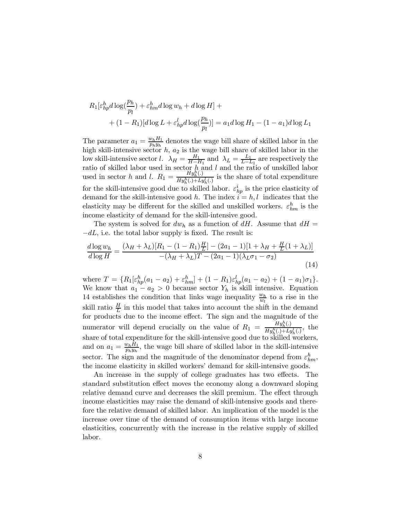$$
R_1[\varepsilon_{hp}^h d \log(\frac{p_h}{p_l}) + \varepsilon_{hm}^h d \log w_h + d \log H] +
$$
  
+ 
$$
(1 - R_1)[d \log L + \varepsilon_{hp}^l d \log(\frac{p_h}{p_l})] = a_1 d \log H_1 - (1 - a_1)d \log L_1
$$

The parameter  $a_1 = \frac{w_h H_1}{p_h y_h}$  denotes the wage bill share of skilled labor in the high skill-intensive sector  $h$ ,  $a_2$  is the wage bill share of skilled labor in the low skill-intensive sector *l*.  $\lambda_H = \frac{H_1}{H - H_1}$  and  $\lambda_L = \frac{L_1}{L - L_1}$  are respectively the ratio of skilled labor used in sector h and l and the ratio of unskilled labor used in sector h and l.  $R_1 = \frac{H y_h^h(.)}{H u^h(.) + L_i}$  $\frac{H y_h(\cdot)}{H y_h^h(\cdot) + L y_h^l(\cdot)}$  is the share of total expenditure for the skill-intensive good due to skilled labor.  $\varepsilon_{hp}^i$  is the price elasticity of demand for the skill-intensive good h. The index  $\vec{i} = h, l$  indicates that the elasticity may be different for the skilled and unskilled workers.  $\varepsilon_{hm}^h$  is the income elasticity of demand for the skill-intensive good.

The system is solved for  $dw_h$  as a function of dH. Assume that  $dH =$  $-dL$ , i.e. the total labor supply is fixed. The result is:

$$
\frac{d \log w_h}{d \log H} = \frac{(\lambda_H + \lambda_L)[R_1 - (1 - R_1)\frac{H}{L}] - (2a_1 - 1)[1 + \lambda_H + \frac{H}{L}(1 + \lambda_L)]}{-(\lambda_H + \lambda_L)T - (2a_1 - 1)(\lambda_L \sigma_1 - \sigma_2)}\tag{14}
$$

where  $T = \{R_1[\varepsilon_{hp}^h(a_1 - a_2) + \varepsilon_{hm}^h] + (1 - R_1)\varepsilon_{hp}^l(a_1 - a_2) + (1 - a_1)\sigma_1\}.$ We know that  $a_1 - a_2 > 0$  because sector  $Y_h$  is skill intensive. Equation 14 establishes the condition that links wage inequality  $\frac{w_h}{w_l}$  to a rise in the skill ratio  $\frac{H}{L}$  in this model that takes into account the shift in the demand for products due to the income effect. The sign and the magnitude of the numerator will depend crucially on the value of  $R_1 = \frac{H y_h^h(.)}{H y_h^h(.) + L_A}$  $\frac{H\mathcal{Y}_h(\cdot)}{Hy_h^h(.)+Ly_h^l(.)}$ , the share of total expenditure for the skill-intensive good due to skilled workers, and on  $a_1 = \frac{w_h H_1}{p_h y_h}$ , the wage bill share of skilled labor in the skill-intensive sector. The sign and the magnitude of the denominator depend from  $\varepsilon_{hm}^h$ , the income elasticity in skilled workers' demand for skill-intensive goods.

An increase in the supply of college graduates has two effects. The standard substitution effect moves the economy along a downward sloping relative demand curve and decreases the skill premium. The effect through income elasticities may raise the demand of skill-intensive goods and therefore the relative demand of skilled labor. An implication of the model is the increase over time of the demand of consumption items with large income elasticities, concurrently with the increase in the relative supply of skilled labor.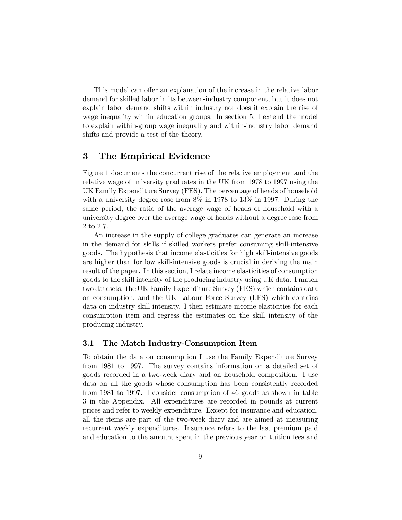This model can offer an explanation of the increase in the relative labor demand for skilled labor in its between-industry component, but it does not explain labor demand shifts within industry nor does it explain the rise of wage inequality within education groups. In section 5, I extend the model to explain within-group wage inequality and within-industry labor demand shifts and provide a test of the theory.

#### 3 The Empirical Evidence

Figure 1 documents the concurrent rise of the relative employment and the relative wage of university graduates in the UK from 1978 to 1997 using the UK Family Expenditure Survey (FES). The percentage of heads of household with a university degree rose from  $8\%$  in 1978 to 13\% in 1997. During the same period, the ratio of the average wage of heads of household with a university degree over the average wage of heads without a degree rose from 2 to 2.7.

An increase in the supply of college graduates can generate an increase in the demand for skills if skilled workers prefer consuming skill-intensive goods. The hypothesis that income elasticities for high skill-intensive goods are higher than for low skill-intensive goods is crucial in deriving the main result of the paper. In this section, I relate income elasticities of consumption goods to the skill intensity of the producing industry using UK data. I match two datasets: the UK Family Expenditure Survey (FES) which contains data on consumption, and the UK Labour Force Survey (LFS) which contains data on industry skill intensity. I then estimate income elasticities for each consumption item and regress the estimates on the skill intensity of the producing industry.

#### 3.1 The Match Industry-Consumption Item

To obtain the data on consumption I use the Family Expenditure Survey from 1981 to 1997. The survey contains information on a detailed set of goods recorded in a two-week diary and on household composition. I use data on all the goods whose consumption has been consistently recorded from 1981 to 1997. I consider consumption of 46 goods as shown in table 3 in the Appendix. All expenditures are recorded in pounds at current prices and refer to weekly expenditure. Except for insurance and education, all the items are part of the two-week diary and are aimed at measuring recurrent weekly expenditures. Insurance refers to the last premium paid and education to the amount spent in the previous year on tuition fees and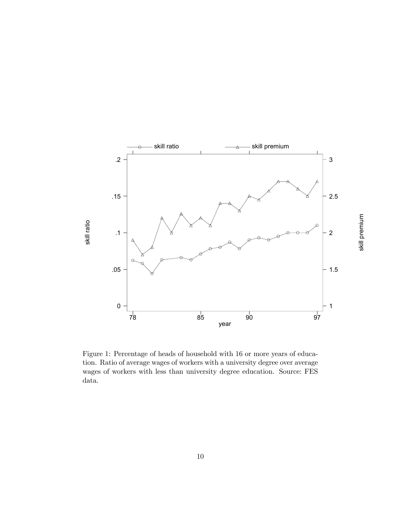

Figure 1: Percentage of heads of household with 16 or more years of education. Ratio of average wages of workers with a university degree over average wages of workers with less than university degree education. Source: FES data.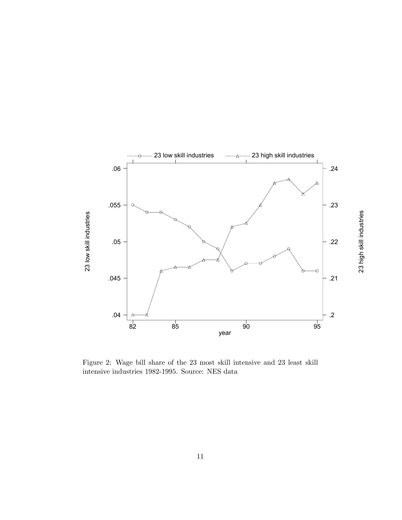

Figure 2: Wage bill share of the 23 most skill intensive and 23 least skill intensive industries 1982-1995. Source: NES data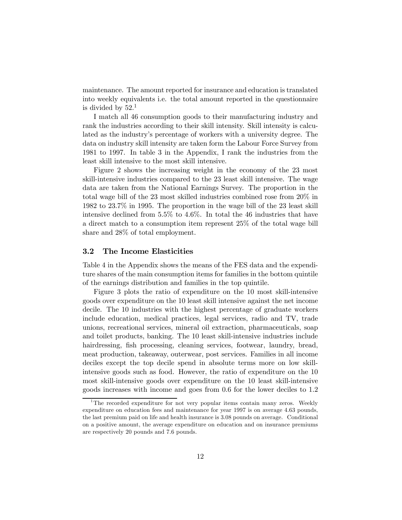maintenance. The amount reported for insurance and education is translated into weekly equivalents i.e. the total amount reported in the questionnaire is divided by  $52<sup>1</sup>$ 

I match all 46 consumption goods to their manufacturing industry and rank the industries according to their skill intensity. Skill intensity is calculated as the industry's percentage of workers with a university degree. The data on industry skill intensity are taken form the Labour Force Survey from 1981 to 1997. In table 3 in the Appendix, I rank the industries from the least skill intensive to the most skill intensive.

Figure 2 shows the increasing weight in the economy of the 23 most skill-intensive industries compared to the 23 least skill intensive. The wage data are taken from the National Earnings Survey. The proportion in the total wage bill of the 23 most skilled industries combined rose from 20% in 1982 to 23.7% in 1995. The proportion in the wage bill of the 23 least skill intensive declined from 5.5% to 4.6%. In total the 46 industries that have a direct match to a consumption item represent 25% of the total wage bill share and 28% of total employment.

#### 3.2 The Income Elasticities

Table 4 in the Appendix shows the means of the FES data and the expenditure shares of the main consumption items for families in the bottom quintile of the earnings distribution and families in the top quintile.

Figure 3 plots the ratio of expenditure on the 10 most skill-intensive goods over expenditure on the 10 least skill intensive against the net income decile. The 10 industries with the highest percentage of graduate workers include education, medical practices, legal services, radio and TV, trade unions, recreational services, mineral oil extraction, pharmaceuticals, soap and toilet products, banking. The 10 least skill-intensive industries include hairdressing, fish processing, cleaning services, footwear, laundry, bread, meat production, takeaway, outerwear, post services. Families in all income deciles except the top decile spend in absolute terms more on low skillintensive goods such as food. However, the ratio of expenditure on the 10 most skill-intensive goods over expenditure on the 10 least skill-intensive goods increases with income and goes from 0.6 for the lower deciles to 1.2

<sup>&</sup>lt;sup>1</sup>The recorded expenditure for not very popular items contain many zeros. Weekly expenditure on education fees and maintenance for year 1997 is on average 4.63 pounds, the last premium paid on life and health insurance is 3.08 pounds on average. Conditional on a positive amount, the average expenditure on education and on insurance premiums are respectively 20 pounds and 7.6 pounds.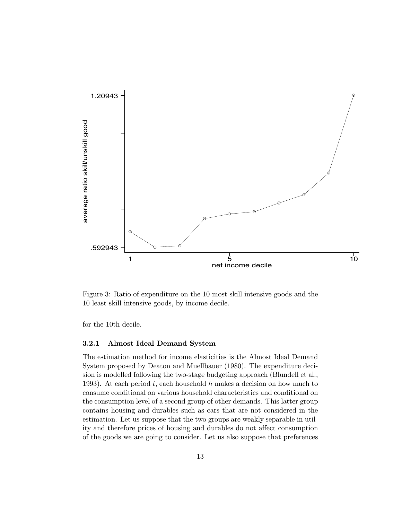

Figure 3: Ratio of expenditure on the 10 most skill intensive goods and the 10 least skill intensive goods, by income decile.

for the 10th decile.

#### 3.2.1 Almost Ideal Demand System

The estimation method for income elasticities is the Almost Ideal Demand System proposed by Deaton and Muellbauer (1980). The expenditure decision is modelled following the two-stage budgeting approach (Blundell et al., 1993). At each period  $t$ , each household  $h$  makes a decision on how much to consume conditional on various household characteristics and conditional on the consumption level of a second group of other demands. This latter group contains housing and durables such as cars that are not considered in the estimation. Let us suppose that the two groups are weakly separable in utility and therefore prices of housing and durables do not affect consumption of the goods we are going to consider. Let us also suppose that preferences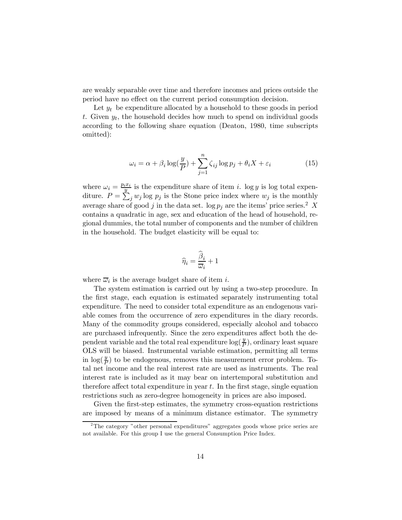are weakly separable over time and therefore incomes and prices outside the period have no effect on the current period consumption decision.

Let  $y_t$  be expenditure allocated by a household to these goods in period t. Given  $y_t$ , the household decides how much to spend on individual goods according to the following share equation (Deaton, 1980, time subscripts omitted):

$$
\omega_i = \alpha + \beta_i \log(\frac{y}{P}) + \sum_{j=1}^n \zeta_{ij} \log p_j + \theta_i X + \varepsilon_i \tag{15}
$$

where  $\omega_i = \frac{p_i x_i}{y}$  is the expenditure share of item *i*. log *y* is log total expenditure.  $P = \sum_{j=1}^{s} w_j \log p_j$  is the Stone price index where  $w_j$  is the monthly average share of good j in the data set.  $\log p_j$  are the items' price series.<sup>2</sup> X contains a quadratic in age, sex and education of the head of household, regional dummies, the total number of components and the number of children in the household. The budget elasticity will be equal to:

$$
\widehat{\eta}_i = \frac{\widehat{\beta}_i}{\overline{\omega}_i} + 1
$$

where  $\overline{\omega}_i$  is the average budget share of item *i*.

The system estimation is carried out by using a two-step procedure. In the first stage, each equation is estimated separately instrumenting total expenditure. The need to consider total expenditure as an endogenous variable comes from the occurrence of zero expenditures in the diary records. Many of the commodity groups considered, especially alcohol and tobacco are purchased infrequently. Since the zero expenditures affect both the dependent variable and the total real expenditure  $\log(\frac{y}{P})$ , ordinary least square OLS will be biased. Instrumental variable estimation, permitting all terms in  $\log(\frac{y}{P})$  to be endogenous, removes this measurement error problem. Total net income and the real interest rate are used as instruments. The real interest rate is included as it may bear on intertemporal substitution and therefore affect total expenditure in year  $t$ . In the first stage, single equation restrictions such as zero-degree homogeneity in prices are also imposed.

Given the first-step estimates, the symmetry cross-equation restrictions are imposed by means of a minimum distance estimator. The symmetry

 $2^2$ The category "other personal expenditures" aggregates goods whose price series are not available. For this group I use the general Consumption Price Index.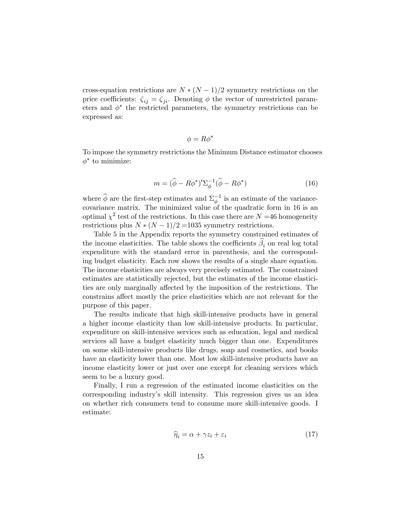cross-equation restrictions are  $N * (N-1)/2$  symmetry restrictions on the price coefficients:  $\zeta_{ij} = \zeta_{ji}$ . Denoting  $\phi$  the vector of unrestricted parameters and  $\phi^*$  the restricted parameters, the symmetry restrictions can be expressed as:

$$
\phi = R\phi^*
$$

To impose the symmetry restrictions the Minimum Distance estimator chooses  $\phi^*$  to minimize:

$$
m = (\hat{\phi} - R\phi^*)' \Sigma_{\phi}^{-1} (\hat{\phi} - R\phi^*)
$$
\n(16)

where  $\widehat{\phi}$  are the first-step estimates and  $\Sigma_{\phi}^{-1}$  is an estimate of the variancecovariance matrix. The minimized value of the quadratic form in 16 is an optimal  $\chi^2$  test of the restrictions. In this case there are  $N = 46$  homogeneity restrictions plus  $N * (N-1)/2 = 1035$  symmetry restrictions.

Table 5 in the Appendix reports the symmetry constrained estimates of the income elasticities. The table shows the coefficients  $\beta_i$  on real log total expenditure with the standard error in parenthesis, and the corresponding budget elasticity. Each row shows the results of a single share equation. The income elasticities are always very precisely estimated. The constrained estimates are statistically rejected, but the estimates of the income elasticities are only marginally affected by the imposition of the restrictions. The constrains affect mostly the price elasticities which are not relevant for the purpose of this paper.

The results indicate that high skill-intensive products have in general a higher income elasticity than low skill-intensive products. In particular, expenditure on skill-intensive services such as education, legal and medical services all have a budget elasticity much bigger than one. Expenditures on some skill-intensive products like drugs, soap and cosmetics, and books have an elasticity lower than one. Most low skill-intensive products have an income elasticity lower or just over one except for cleaning services which seem to be a luxury good.

Finally, I run a regression of the estimated income elasticities on the corresponding industry's skill intensity. This regression gives us an idea on whether rich consumers tend to consume more skill-intensive goods. I estimate:

$$
\widehat{\eta}_i = \alpha + \gamma z_i + \varepsilon_i \tag{17}
$$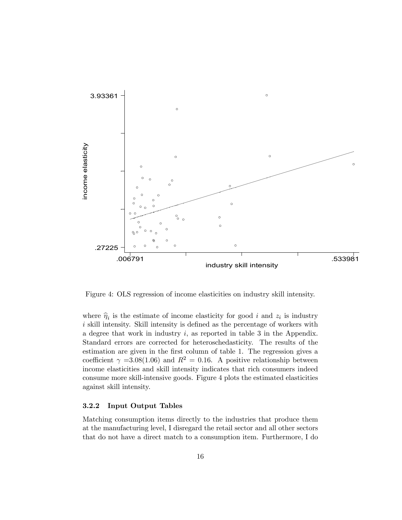

Figure 4: OLS regression of income elasticities on industry skill intensity.

where  $\hat{\eta}_i$  is the estimate of income elasticity for good i and  $z_i$  is industry  $i$  skill intensity. Skill intensity is defined as the percentage of workers with a degree that work in industry  $i$ , as reported in table 3 in the Appendix. Standard errors are corrected for heteroschedasticity. The results of the estimation are given in the first column of table 1. The regression gives a coefficient  $\gamma = 3.08(1.06)$  and  $R^2 = 0.16$ . A positive relationship between income elasticities and skill intensity indicates that rich consumers indeed consume more skill-intensive goods. Figure 4 plots the estimated elasticities against skill intensity.

#### 3.2.2 Input Output Tables

Matching consumption items directly to the industries that produce them at the manufacturing level, I disregard the retail sector and all other sectors that do not have a direct match to a consumption item. Furthermore, I do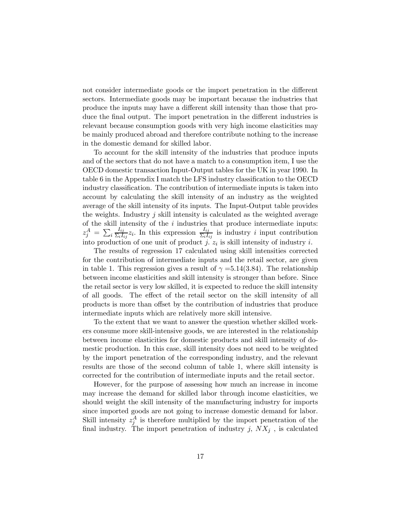not consider intermediate goods or the import penetration in the different sectors. Intermediate goods may be important because the industries that produce the inputs may have a different skill intensity than those that produce the final output. The import penetration in the different industries is relevant because consumption goods with very high income elasticities may be mainly produced abroad and therefore contribute nothing to the increase in the domestic demand for skilled labor.

To account for the skill intensity of the industries that produce inputs and of the sectors that do not have a match to a consumption item, I use the OECD domestic transaction Input-Output tables for the UK in year 1990. In table 6 in the Appendix I match the LFS industry classification to the OECD industry classification. The contribution of intermediate inputs is taken into account by calculating the skill intensity of an industry as the weighted average of the skill intensity of its inputs. The Input-Output table provides the weights. Industry  $j$  skill intensity is calculated as the weighted average of the skill intensity of the  $i$  industries that produce intermediate inputs:  $z^A_j \,=\, \sum_i$  $I_{ij}$  $\frac{I_{ij}}{\Sigma_i I_{ij}} z_i$ . In this expression  $\frac{I_{ij}}{\Sigma_i I_{ij}}$  is industry *i* input contribution into production of one unit of product j.  $z_i$  is skill intensity of industry i.

The results of regression 17 calculated using skill intensities corrected for the contribution of intermediate inputs and the retail sector, are given in table 1. This regression gives a result of  $\gamma = 5.14(3.84)$ . The relationship between income elasticities and skill intensity is stronger than before. Since the retail sector is very low skilled, it is expected to reduce the skill intensity of all goods. The effect of the retail sector on the skill intensity of all products is more than offset by the contribution of industries that produce intermediate inputs which are relatively more skill intensive.

To the extent that we want to answer the question whether skilled workers consume more skill-intensive goods, we are interested in the relationship between income elasticities for domestic products and skill intensity of domestic production. In this case, skill intensity does not need to be weighted by the import penetration of the corresponding industry, and the relevant results are those of the second column of table 1, where skill intensity is corrected for the contribution of intermediate inputs and the retail sector.

However, for the purpose of assessing how much an increase in income may increase the demand for skilled labor through income elasticities, we should weight the skill intensity of the manufacturing industry for imports since imported goods are not going to increase domestic demand for labor. Skill intensity  $z_j^A$  is therefore multiplied by the import penetration of the final industry. The import penetration of industry j,  $NX_j$ , is calculated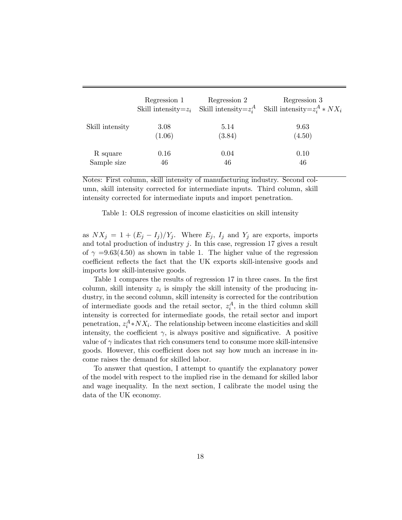|                 | Regression 1 | Regression 2<br>Skill intensity= $z_i$ Skill intensity= $z_i^A$ | Regression 3<br>Skill intensity= $z_i^A * N X_i$ |
|-----------------|--------------|-----------------------------------------------------------------|--------------------------------------------------|
| Skill intensity | 3.08         | 5.14                                                            | 9.63                                             |
|                 | (1.06)       | (3.84)                                                          | (4.50)                                           |
| R square        | 0.16         | 0.04                                                            | 0.10                                             |
| Sample size     | 46           | 46                                                              | 46                                               |

Notes: First column, skill intensity of manufacturing industry. Second column, skill intensity corrected for intermediate inputs. Third column, skill intensity corrected for intermediate inputs and import penetration.

#### Table 1: OLS regression of income elasticities on skill intensity

as  $NX_j = 1 + (E_j - I_j)/Y_j$ . Where  $E_j$ ,  $I_j$  and  $Y_j$  are exports, imports and total production of industry  $j$ . In this case, regression 17 gives a result of  $\gamma = 9.63(4.50)$  as shown in table 1. The higher value of the regression coefficient reflects the fact that the UK exports skill-intensive goods and imports low skill-intensive goods.

Table 1 compares the results of regression 17 in three cases. In the first column, skill intensity  $z_i$  is simply the skill intensity of the producing industry, in the second column, skill intensity is corrected for the contribution of intermediate goods and the retail sector,  $z_i^A$ , in the third column skill intensity is corrected for intermediate goods, the retail sector and import penetration,  $z_i^A * N X_i$ . The relationship between income elasticities and skill intensity, the coefficient  $\gamma$ , is always positive and significative. A positive value of  $\gamma$  indicates that rich consumers tend to consume more skill-intensive goods. However, this coefficient does not say how much an increase in income raises the demand for skilled labor.

To answer that question, I attempt to quantify the explanatory power of the model with respect to the implied rise in the demand for skilled labor and wage inequality. In the next section, I calibrate the model using the data of the UK economy.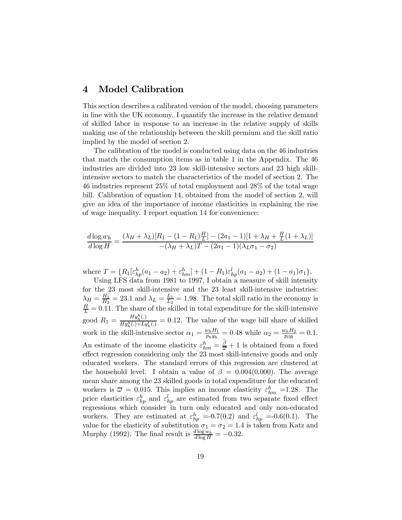#### 4 Model Calibration

This section describes a calibrated version of the model, choosing parameters in line with the UK economy. I quantify the increase in the relative demand of skilled labor in response to an increase in the relative supply of skills making use of the relationship between the skill premium and the skill ratio implied by the model of section 2.

The calibration of the model is conducted using data on the 46 industries that match the consumption items as in table 1 in the Appendix. The 46 industries are divided into 23 low skill-intensive sectors and 23 high skillintensive sectors to match the characteristics of the model of section 2. The 46 industries represent 25% of total employment and 28% of the total wage bill. Calibration of equation 14, obtained from the model of section 2, will give an idea of the importance of income elasticities in explaining the rise of wage inequality. I report equation 14 for convenience:

$$
\frac{d \log w_h}{d \log H} = \frac{(\lambda_H + \lambda_L)[R_1 - (1 - R_1)\frac{H}{L}] - (2a_1 - 1)[1 + \lambda_H + \frac{H}{L}(1 + \lambda_L)]}{-(\lambda_H + \lambda_L)T - (2a_1 - 1)(\lambda_L \sigma_1 - \sigma_2)}
$$

where  $T = \{R_1[\varepsilon_{hp}^h(a_1 - a_2) + \varepsilon_{hm}^h] + (1 - R_1)\varepsilon_{hp}^l(a_1 - a_2) + (1 - a_1)\sigma_1\}.$ 

Using LFS data from 1981 to 1997, I obtain a measure of skill intensity for the 23 most skill-intensive and the 23 least skill-intensive industries:  $\lambda_H = \frac{H_1}{H_2} = 23.1$  and  $\lambda_L = \frac{L_1}{L_2} = 1.98$ . The total skill ratio in the economy is  $\frac{H}{L} = 0.11$ . The share of the skilled in total expenditure for the skill-intensive good  $R_1 = \frac{Hy_h^h(.)}{Hu^{h}() + Lu}$  $\frac{H y_h(\cdot)}{H y_h^h(\cdot) + L y_h^l(\cdot)} = 0.12$ . The value of the wage bill share of skilled work in the skill-intensive sector  $\alpha_1 = \frac{w_h H_1}{p_h y_h} = 0.48$  while  $\alpha_2 = \frac{w_h H_2}{p_l y_l} = 0.1$ . An estimate of the income elasticity  $\varepsilon_{hm}^h = \frac{\beta}{\overline{\omega}} + 1$  is obtained from a fixed effect regression considering only the 23 most skill-intensive goods and only educated workers. The standard errors of this regression are clustered at the household level. I obtain a value of  $\beta = 0.004(0.000)$ . The average mean share among the 23 skilled goods in total expenditure for the educated workers is  $\overline{\omega} = 0.015$ . This implies an income elasticity  $\varepsilon_{hm}^h = 1.28$ . The price elasticities  $\varepsilon_{hp}^h$  and  $\varepsilon_{hp}^l$  are estimated from two separate fixed effect regressions which consider in turn only educated and only non-educated workers. They are estimated at  $\varepsilon_{hp}^h$  =-0.7(0.2) and  $\varepsilon_{hp}^l$  =-0.6(0.1). The value for the elasticity of substitution  $\sigma_1 = \sigma_2 = 1.4$  is taken from Katz and Murphy (1992). The final result is  $\frac{d \log w_h}{d \log H} = -0.32$ .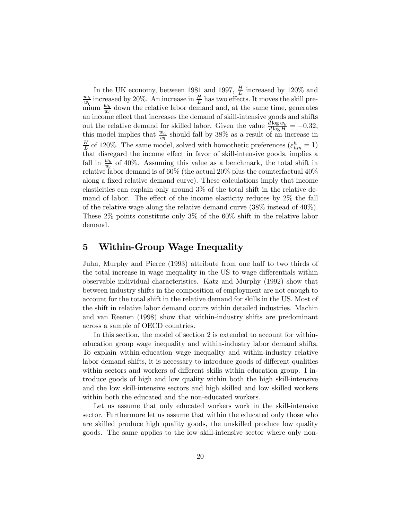In the UK economy, between 1981 and 1997,  $\frac{H}{L}$  increased by 120% and  $\frac{w_h}{L}$  increased by 20%. An increase in  $\frac{H}{L}$  has two effects. It moves the skill pre- $\frac{w_h}{w_l}$  increased by 20%. An increase in  $\frac{H}{L}$  has two effects. It moves the skill pre- $\frac{w_t}{w_l}$  down the relative labor demand and, at the same time, generates an income effect that increases the demand of skill-intensive goods and shifts out the relative demand for skilled labor. Given the value  $\frac{d \log w_h}{d \log H} = -0.32$ , this model implies that  $\frac{w_h}{w_l}$  should fall by 38% as a result of an increase in  $\frac{H}{L}$  of 120%. The same model, solved with homothetic preferences  $(\varepsilon_{hm}^h = 1)$ that disregard the income effect in favor of skill-intensive goods, implies a fall in  $\frac{w_h}{w_l}$  of 40%. Assuming this value as a benchmark, the total shift in relative labor demand is of 60% (the actual 20% plus the counterfactual  $40\%$ along a fixed relative demand curve). These calculations imply that income elasticities can explain only around 3% of the total shift in the relative demand of labor. The effect of the income elasticity reduces by 2% the fall of the relative wage along the relative demand curve  $(38\% \text{ instead of } 40\%)$ . These 2% points constitute only 3% of the 60% shift in the relative labor demand.

#### 5 Within-Group Wage Inequality

Juhn, Murphy and Pierce (1993) attribute from one half to two thirds of the total increase in wage inequality in the US to wage differentials within observable individual characteristics. Katz and Murphy (1992) show that between industry shifts in the composition of employment are not enough to account for the total shift in the relative demand for skills in the US. Most of the shift in relative labor demand occurs within detailed industries. Machin and van Reenen (1998) show that within-industry shifts are predominant across a sample of OECD countries.

In this section, the model of section 2 is extended to account for withineducation group wage inequality and within-industry labor demand shifts. To explain within-education wage inequality and within-industry relative labor demand shifts, it is necessary to introduce goods of different qualities within sectors and workers of different skills within education group. I introduce goods of high and low quality within both the high skill-intensive and the low skill-intensive sectors and high skilled and low skilled workers within both the educated and the non-educated workers.

Let us assume that only educated workers work in the skill-intensive sector. Furthermore let us assume that within the educated only those who are skilled produce high quality goods, the unskilled produce low quality goods. The same applies to the low skill-intensive sector where only non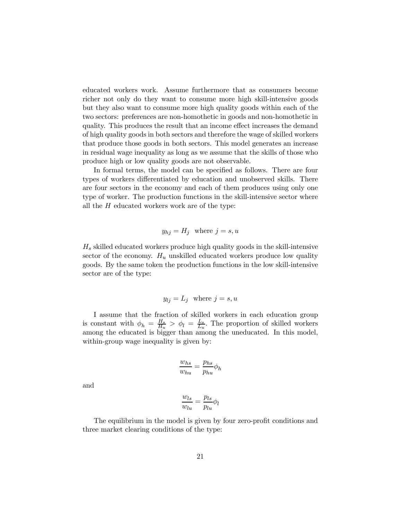educated workers work. Assume furthermore that as consumers become richer not only do they want to consume more high skill-intensive goods but they also want to consume more high quality goods within each of the two sectors: preferences are non-homothetic in goods and non-homothetic in quality. This produces the result that an income effect increases the demand of high quality goods in both sectors and therefore the wage of skilled workers that produce those goods in both sectors. This model generates an increase in residual wage inequality as long as we assume that the skills of those who produce high or low quality goods are not observable.

In formal terms, the model can be specified as follows. There are four types of workers differentiated by education and unobserved skills. There are four sectors in the economy and each of them produces using only one type of worker. The production functions in the skill-intensive sector where all the  $H$  educated workers work are of the type:

$$
y_{hj} = H_j \quad \text{where } j = s, u
$$

 $H<sub>s</sub>$  skilled educated workers produce high quality goods in the skill-intensive sector of the economy.  $H_u$  unskilled educated workers produce low quality goods. By the same token the production functions in the low skill-intensive sector are of the type:

$$
y_{lj} = L_j \text{ where } j = s, u
$$

I assume that the fraction of skilled workers in each education group is constant with  $\phi_h = \frac{H_s}{H_u} > \phi_l = \frac{L_s}{L_u}$ . The proportion of skilled workers among the educated is bigger than among the uneducated. In this model, within-group wage inequality is given by:

$$
\frac{w_{hs}}{w_{hu}} = \frac{p_{hs}}{p_{hu}} p_h
$$

and

$$
\frac{w_{ls}}{w_{lu}} = \frac{p_{ls}}{p_{lu}} \phi_l
$$

The equilibrium in the model is given by four zero-profit conditions and three market clearing conditions of the type: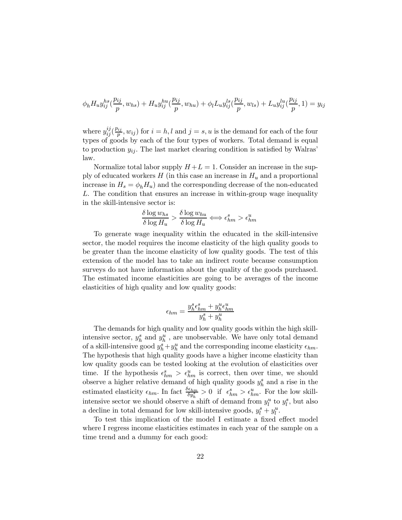$$
\phi_h H_u y_{ij}^{hs}(\frac{p_{ij}}{p}, w_{hs}) + H_u y_{ij}^{hu}(\frac{p_{ij}}{p}, w_{hu}) + \phi_l L_u y_{ij}^{ls}(\frac{p_{ij}}{p}, w_{ls}) + L_u y_{ij}^{lu}(\frac{p_{ij}}{p}, 1) = y_{ij}
$$

where  $y_{ij}^{ij}(\frac{p_{ij}}{p}, w_{ij})$  for  $i = h, l$  and  $j = s, u$  is the demand for each of the four types of goods by each of the four types of workers. Total demand is equal to production  $y_{ij}$ . The last market clearing condition is satisfied by Walras' law.

Normalize total labor supply  $H + L = 1$ . Consider an increase in the supply of educated workers  $H$  (in this case an increase in  $H_u$  and a proportional increase in  $H_s = \phi_h H_u$  and the corresponding decrease of the non-educated L. The condition that ensures an increase in within-group wage inequality in the skill-intensive sector is:

$$
\frac{\delta \log w_{hs}}{\delta \log H_u} > \frac{\delta \log w_{hu}}{\delta \log H_u} \Longleftrightarrow \epsilon_{hm}^s > \epsilon_{hm}^u
$$

To generate wage inequality within the educated in the skill-intensive sector, the model requires the income elasticity of the high quality goods to be greater than the income elasticity of low quality goods. The test of this extension of the model has to take an indirect route because consumption surveys do not have information about the quality of the goods purchased. The estimated income elasticities are going to be averages of the income elasticities of high quality and low quality goods:

$$
\epsilon_{hm} = \frac{y_h^s \epsilon_{hm}^s + y_h^u \epsilon_{hm}^u}{y_h^s + y_h^u}
$$

The demands for high quality and low quality goods within the high skillintensive sector,  $y_h^s$  and  $y_h^u$ , are unobservable. We have only total demand of a skill-intensive good  $y_h^s + y_h^u$  and the corresponding income elasticity  $\epsilon_{hm}$ . The hypothesis that high quality goods have a higher income elasticity than low quality goods can be tested looking at the evolution of elasticities over time. If the hypothesis  $\epsilon_{hm}^s > \epsilon_{hm}^u$  is correct, then over time, we should observe a higher relative demand of high quality goods  $y_h^s$  and a rise in the estimated elasticity  $\epsilon_{hm}$ . In fact  $\frac{\delta \epsilon_{hm}}{\delta y_h^s} > 0$  if  $\epsilon_{hm}^s > \epsilon_{hm}^u$ . For the low skillintensive sector we should observe a shift of demand from  $y_l^u$  to  $y_l^s$ , but also a decline in total demand for low skill-intensive goods,  $y_l^s + y_l^u$ .

To test this implication of the model I estimate a fixed effect model where I regress income elasticities estimates in each year of the sample on a time trend and a dummy for each good: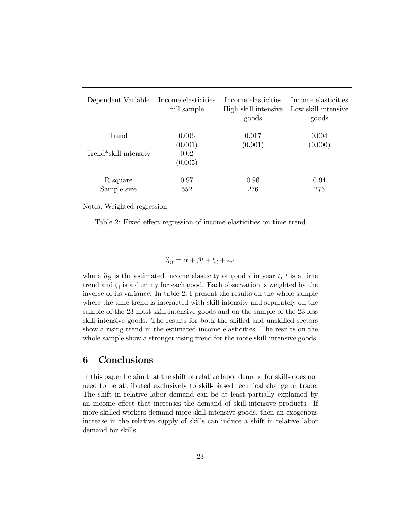| Dependent Variable    | Income elasticities<br>full sample | Income elasticities<br>High skill-intensive<br>goods | Income elasticities<br>Low skill-intensive<br>goods |
|-----------------------|------------------------------------|------------------------------------------------------|-----------------------------------------------------|
| Trend                 | 0.006                              | 0.017                                                | 0.004<br>(0.000)                                    |
| Trend*skill intensity | (0.001)<br>0.02<br>(0.005)         | (0.001)                                              |                                                     |
| R square              | 0.97                               | 0.96                                                 | 0.94                                                |
| Sample size           | 552                                | 276                                                  | 276                                                 |

Notes: Weighted regression

Table 2: Fixed effect regression of income elasticities on time trend

$$
\widehat{\eta}_{it} = \alpha + \beta t + \xi_i + \varepsilon_{it}
$$

where  $\hat{\eta}_{it}$  is the estimated income elasticity of good i in year t, t is a time trend and  $\xi_i$  is a dummy for each good. Each observation is weighted by the inverse of its variance. In table 2, I present the results on the whole sample where the time trend is interacted with skill intensity and separately on the sample of the 23 most skill-intensive goods and on the sample of the 23 less skill-intensive goods. The results for both the skilled and unskilled sectors show a rising trend in the estimated income elasticities. The results on the whole sample show a stronger rising trend for the more skill-intensive goods.

#### 6 Conclusions

In this paper I claim that the shift of relative labor demand for skills does not need to be attributed exclusively to skill-biased technical change or trade. The shift in relative labor demand can be at least partially explained by an income effect that increases the demand of skill-intensive products. If more skilled workers demand more skill-intensive goods, then an exogenous increase in the relative supply of skills can induce a shift in relative labor demand for skills.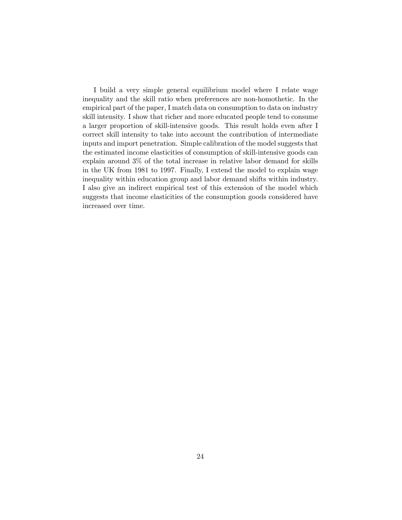I build a very simple general equilibrium model where I relate wage inequality and the skill ratio when preferences are non-homothetic. In the empirical part of the paper, I match data on consumption to data on industry skill intensity. I show that richer and more educated people tend to consume a larger proportion of skill-intensive goods. This result holds even after I correct skill intensity to take into account the contribution of intermediate inputs and import penetration. Simple calibration of the model suggests that the estimated income elasticities of consumption of skill-intensive goods can explain around 3% of the total increase in relative labor demand for skills in the UK from 1981 to 1997. Finally, I extend the model to explain wage inequality within education group and labor demand shifts within industry. I also give an indirect empirical test of this extension of the model which suggests that income elasticities of the consumption goods considered have increased over time.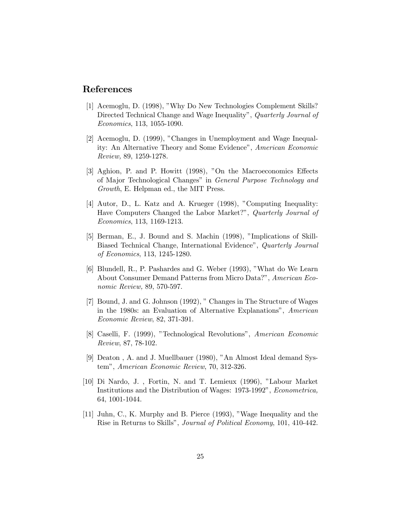#### References

- [1] Acemoglu, D. (1998), "Why Do New Technologies Complement Skills? Directed Technical Change and Wage Inequality", Quarterly Journal of Economics, 113, 1055-1090.
- [2] Acemoglu, D. (1999), "Changes in Unemployment and Wage Inequality: An Alternative Theory and Some Evidence", American Economic Review, 89, 1259-1278.
- [3] Aghion, P. and P. Howitt (1998), "On the Macroeconomics Effects of Major Technological Changes" in General Purpose Technology and Growth, E. Helpman ed., the MIT Press.
- [4] Autor, D., L. Katz and A. Krueger (1998), "Computing Inequality: Have Computers Changed the Labor Market?", Quarterly Journal of Economics, 113, 1169-1213.
- [5] Berman, E., J. Bound and S. Machin (1998), "Implications of Skill-Biased Technical Change, International Evidence", Quarterly Journal of Economics, 113, 1245-1280.
- [6] Blundell, R., P. Pashardes and G. Weber (1993), "What do We Learn About Consumer Demand Patterns from Micro Data?", American Economic Review, 89, 570-597.
- [7] Bound, J. and G. Johnson (1992), " Changes in The Structure of Wages in the 1980s: an Evaluation of Alternative Explanations", American Economic Review, 82, 371-391.
- [8] Caselli, F. (1999), "Technological Revolutions", American Economic Review, 87, 78-102.
- [9] Deaton , A. and J. Muellbauer (1980), "An Almost Ideal demand System", American Economic Review, 70, 312-326.
- [10] Di Nardo, J. , Fortin, N. and T. Lemieux (1996), "Labour Market Institutions and the Distribution of Wages: 1973-1992", Econometrica, 64, 1001-1044.
- [11] Juhn, C., K. Murphy and B. Pierce (1993), "Wage Inequality and the Rise in Returns to Skills", Journal of Political Economy, 101, 410-442.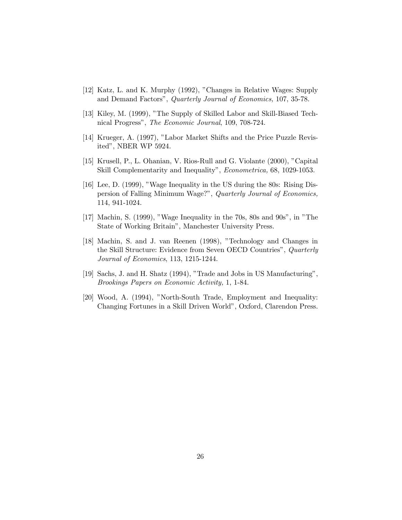- [12] Katz, L. and K. Murphy (1992), "Changes in Relative Wages: Supply and Demand Factors", Quarterly Journal of Economics, 107, 35-78.
- [13] Kiley, M. (1999), "The Supply of Skilled Labor and Skill-Biased Technical Progress", The Economic Journal, 109, 708-724.
- [14] Krueger, A. (1997), "Labor Market Shifts and the Price Puzzle Revisited", NBER WP 5924.
- [15] Krusell, P., L. Ohanian, V. Rios-Rull and G. Violante (2000), "Capital Skill Complementarity and Inequality", Econometrica, 68, 1029-1053.
- [16] Lee, D. (1999), "Wage Inequality in the US during the 80s: Rising Dispersion of Falling Minimum Wage?", Quarterly Journal of Economics, 114, 941-1024.
- [17] Machin, S. (1999), "Wage Inequality in the 70s, 80s and 90s", in "The State of Working Britain", Manchester University Press.
- [18] Machin, S. and J. van Reenen (1998), "Technology and Changes in the Skill Structure: Evidence from Seven OECD Countries", Quarterly Journal of Economics, 113, 1215-1244.
- [19] Sachs, J. and H. Shatz (1994), "Trade and Jobs in US Manufacturing", Brookings Papers on Economic Activity, 1, 1-84.
- [20] Wood, A. (1994), "North-South Trade, Employment and Inequality: Changing Fortunes in a Skill Driven World", Oxford, Clarendon Press.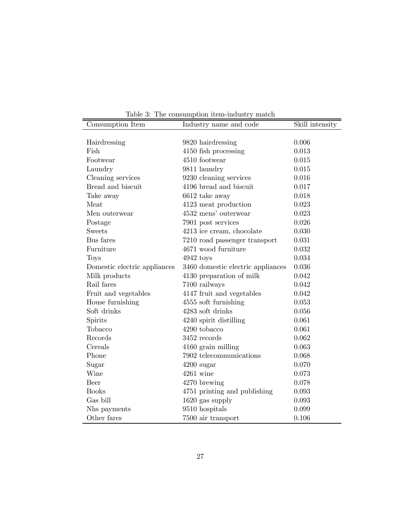| Consumption Item             | rable 9. The consumption from-measury match<br>Industry name and code | Skill intensity |
|------------------------------|-----------------------------------------------------------------------|-----------------|
|                              |                                                                       |                 |
| Hairdressing                 | 9820 hairdressing                                                     | 0.006           |
| Fish                         | 4150 fish processing                                                  | 0.013           |
| Footwear                     | 4510 footwear                                                         | 0.015           |
| Laundry                      | 9811 laundry                                                          | 0.015           |
| Cleaning services            | 9230 cleaning services                                                | 0.016           |
| Bread and biscuit            | 4196 bread and biscuit                                                | 0.017           |
| Take away                    | 6612 take away                                                        | 0.018           |
| Meat                         | 4123 meat production                                                  | 0.023           |
| Men outerwear                | 4532 mens' outerwear                                                  | 0.023           |
| Postage                      | 7901 post services                                                    | 0.026           |
| <b>Sweets</b>                | 4213 ice cream, chocolate                                             | 0.030           |
| Bus fares                    | 7210 road passenger transport                                         | 0.031           |
| Furniture                    | 4671 wood furniture                                                   | 0.032           |
| Toys                         | $4942$ toys                                                           | 0.034           |
| Domestic electric appliances | 3460 domestic electric appliances                                     | 0.036           |
| Milk products                | 4130 preparation of milk                                              | 0.042           |
| Rail fares                   | 7100 railways                                                         | 0.042           |
| Fruit and vegetables         | 4147 fruit and vegetables                                             | 0.042           |
| House furnishing             | 4555 soft furnishing                                                  | 0.053           |
| Soft drinks                  | 4283 soft drinks                                                      | 0.056           |
| Spirits                      | 4240 spirit distilling                                                | 0.061           |
| Tobacco                      | 4290 tobacco                                                          | 0.061           |
| Records                      | 3452 records                                                          | 0.062           |
| Cereals                      | 4160 grain milling                                                    | 0.063           |
| Phone                        | 7902 telecommunications                                               | 0.068           |
| Sugar                        | $4200$ sugar                                                          | 0.070           |
| Wine                         | $4261$ wine                                                           | 0.073           |
| Beer                         | 4270 brewing                                                          | 0.078           |
| <b>Books</b>                 | 4751 printing and publishing                                          | 0.093           |
| Gas bill                     | 1620 gas supply                                                       | 0.093           |
| Nhs payments                 | 9510 hospitals                                                        | 0.099           |
| Other fares                  | 7500 air transport                                                    | 0.106           |

Table 3: The consumption item-industry match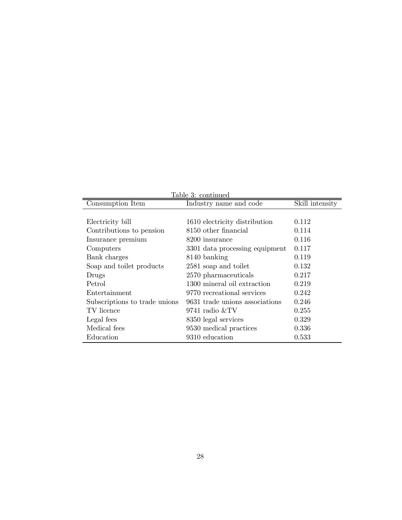| Table 3: continued            |                                |                 |  |  |  |
|-------------------------------|--------------------------------|-----------------|--|--|--|
| Consumption Item              | Industry name and code         | Skill intensity |  |  |  |
|                               |                                |                 |  |  |  |
| Electricity bill              | 1610 electricity distribution  | 0.112           |  |  |  |
| Contributions to pension      | 8150 other financial           | 0.114           |  |  |  |
| Insurance premium             | 8200 insurance                 | 0.116           |  |  |  |
| Computers                     | 3301 data processing equipment | 0.117           |  |  |  |
| Bank charges                  | 8140 banking                   | 0.119           |  |  |  |
| Soap and toilet products      | 2581 soap and toilet           | 0.132           |  |  |  |
| Drugs                         | 2570 pharmaceuticals           | 0.217           |  |  |  |
| Petrol                        | 1300 mineral oil extraction    | 0.219           |  |  |  |
| Entertainment                 | 9770 recreational services     | 0.242           |  |  |  |
| Subscriptions to trade unions | 9631 trade unions associations | 0.246           |  |  |  |
| TV licence                    | 9741 radio &TV                 | 0.255           |  |  |  |
| Legal fees                    | 8350 legal services            | 0.329           |  |  |  |
| Medical fees                  | 9530 medical practices         | 0.336           |  |  |  |
| Education                     | 9310 education                 | 0.533           |  |  |  |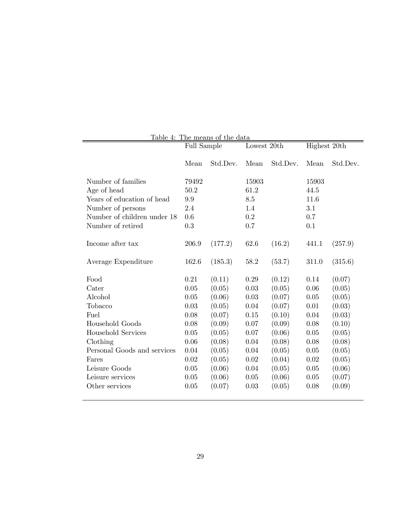| Table 4: The means of the data |                            |          |       |          |       |              |  |
|--------------------------------|----------------------------|----------|-------|----------|-------|--------------|--|
|                                | Lowest 20th<br>Full Sample |          |       |          |       | Highest 20th |  |
|                                |                            |          |       |          |       |              |  |
|                                | Mean                       | Std.Dev. | Mean  | Std.Dev. | Mean  | Std.Dev.     |  |
| Number of families             | 79492                      |          | 15903 |          | 15903 |              |  |
| Age of head                    | 50.2                       |          | 61.2  |          | 44.5  |              |  |
| Years of education of head     | 9.9                        |          | 8.5   |          | 11.6  |              |  |
| Number of persons              | 2.4                        |          | 1.4   |          | 3.1   |              |  |
| Number of children under 18    | 0.6                        |          | 0.2   |          | 0.7   |              |  |
| Number of retired              | 0.3                        |          | 0.7   |          | 0.1   |              |  |
|                                |                            |          |       |          |       |              |  |
| Income after tax               | 206.9                      | (177.2)  | 62.6  | (16.2)   | 441.1 | (257.9)      |  |
|                                |                            |          |       |          |       |              |  |
| Average Expenditure            | 162.6                      | (185.3)  | 58.2  | (53.7)   | 311.0 | (315.6)      |  |
| Food                           | 0.21                       | (0.11)   | 0.29  | (0.12)   | 0.14  | (0.07)       |  |
| Cater                          | 0.05                       | (0.05)   | 0.03  | (0.05)   | 0.06  |              |  |
| Alcohol                        | 0.05                       |          |       |          |       | (0.05)       |  |
|                                |                            | (0.06)   | 0.03  | (0.07)   | 0.05  | (0.05)       |  |
| Tobacco                        | 0.03                       | (0.05)   | 0.04  | (0.07)   | 0.01  | (0.03)       |  |
| Fuel                           | 0.08                       | (0.07)   | 0.15  | (0.10)   | 0.04  | (0.03)       |  |
| Household Goods                | 0.08                       | (0.09)   | 0.07  | (0.09)   | 0.08  | (0.10)       |  |
| <b>Household Services</b>      | 0.05                       | (0.05)   | 0.07  | (0.06)   | 0.05  | (0.05)       |  |
| Clothing                       | 0.06                       | (0.08)   | 0.04  | (0.08)   | 0.08  | (0.08)       |  |
| Personal Goods and services    | 0.04                       | (0.05)   | 0.04  | (0.05)   | 0.05  | (0.05)       |  |
| Fares                          | 0.02                       | (0.05)   | 0.02  | (0.04)   | 0.02  | (0.05)       |  |
| Leisure Goods                  | 0.05                       | (0.06)   | 0.04  | (0.05)   | 0.05  | (0.06)       |  |
| Leisure services               | 0.05                       | (0.06)   | 0.05  | (0.06)   | 0.05  | (0.07)       |  |
| Other services                 | 0.05                       | (0.07)   | 0.03  | (0.05)   | 0.08  | (0.09)       |  |
|                                |                            |          |       |          |       |              |  |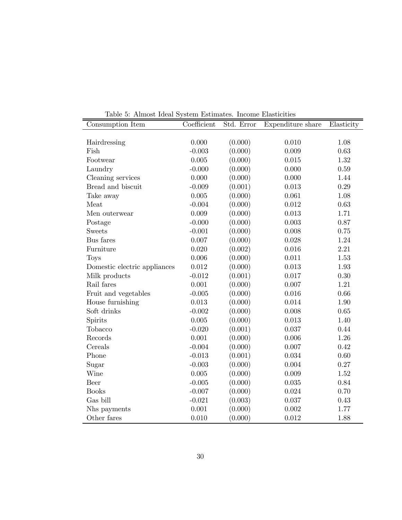| Table 9. Trimose rucar bysecm Esemiaecs. Income Elaseiches<br>Consumption Item | Coefficient | Std. Error | Expenditure share | Elasticity |
|--------------------------------------------------------------------------------|-------------|------------|-------------------|------------|
|                                                                                |             |            |                   |            |
| Hairdressing                                                                   | 0.000       | (0.000)    | 0.010             | 1.08       |
| Fish                                                                           | $-0.003$    | (0.000)    | 0.009             | 0.63       |
| Footwear                                                                       | 0.005       | (0.000)    | 0.015             | 1.32       |
| Laundry                                                                        | $-0.000$    | (0.000)    | 0.000             | 0.59       |
| Cleaning services                                                              | 0.000       | (0.000)    | 0.000             | 1.44       |
| Bread and biscuit                                                              | $-0.009$    | (0.001)    | 0.013             | 0.29       |
| Take away                                                                      | 0.005       | (0.000)    | 0.061             | 1.08       |
| Meat                                                                           | $-0.004$    | (0.000)    | 0.012             | 0.63       |
| Men outerwear                                                                  | 0.009       | (0.000)    | 0.013             | 1.71       |
| Postage                                                                        | $-0.000$    | (0.000)    | $0.003\,$         | 0.87       |
| <b>Sweets</b>                                                                  | $-0.001$    | (0.000)    | 0.008             | 0.75       |
| Bus fares                                                                      | 0.007       | (0.000)    | 0.028             | 1.24       |
| Furniture                                                                      | 0.020       | (0.002)    | 0.016             | 2.21       |
| <b>Toys</b>                                                                    | 0.006       | (0.000)    | 0.011             | 1.53       |
| Domestic electric appliances                                                   | $0.012\,$   | (0.000)    | $\,0.013\,$       | $1.93\,$   |
| Milk products                                                                  | $-0.012$    | (0.001)    | 0.017             | 0.30       |
| Rail fares                                                                     | 0.001       | (0.000)    | 0.007             | 1.21       |
| Fruit and vegetables                                                           | $-0.005$    | (0.000)    | 0.016             | 0.66       |
| House furnishing                                                               | 0.013       | (0.000)    | 0.014             | 1.90       |
| Soft drinks                                                                    | $-0.002$    | (0.000)    | 0.008             | 0.65       |
| Spirits                                                                        | 0.005       | (0.000)    | 0.013             | 1.40       |
| Tobacco                                                                        | $-0.020$    | (0.001)    | 0.037             | 0.44       |
| Records                                                                        | 0.001       | (0.000)    | 0.006             | 1.26       |
| Cereals                                                                        | $-0.004$    | (0.000)    | 0.007             | 0.42       |
| Phone                                                                          | $-0.013$    | (0.001)    | 0.034             | 0.60       |
| Sugar                                                                          | $-0.003$    | (0.000)    | 0.004             | $0.27\,$   |
| Wine                                                                           | 0.005       | (0.000)    | 0.009             | 1.52       |
| Beer                                                                           | $-0.005$    | (0.000)    | $0.035\,$         | 0.84       |
| <b>Books</b>                                                                   | $-0.007$    | (0.000)    | 0.024             | 0.70       |
| Gas bill                                                                       | $-0.021$    | (0.003)    | 0.037             | 0.43       |
| Nhs payments                                                                   | 0.001       | (0.000)    | 0.002             | 1.77       |
| Other fares                                                                    | 0.010       | (0.000)    | 0.012             | 1.88       |

Table 5: Almost Ideal System Estimates. Income Elasticities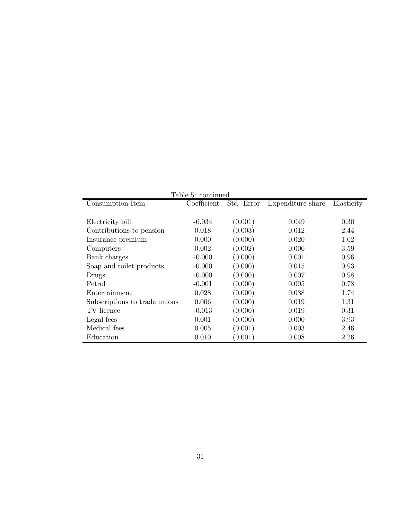| Table 5: continued            |             |            |                   |            |  |  |
|-------------------------------|-------------|------------|-------------------|------------|--|--|
| Consumption Item              | Coefficient | Std. Error | Expenditure share | Elasticity |  |  |
|                               |             |            |                   |            |  |  |
| Electricity bill              | $-0.034$    | (0.001)    | 0.049             | 0.30       |  |  |
| Contributions to pension      | 0.018       | (0.003)    | 0.012             | 2.44       |  |  |
| Insurance premium             | 0.000       | (0.000)    | 0.020             | 1.02       |  |  |
| Computers                     | 0.002       | (0.002)    | 0.000             | 3.59       |  |  |
| Bank charges                  | $-0.000$    | (0.000)    | 0.001             | 0.96       |  |  |
| Soap and toilet products      | $-0.000$    | (0.000)    | 0.015             | 0.93       |  |  |
| Drugs                         | $-0.000$    | (0.000)    | 0.007             | 0.98       |  |  |
| Petrol                        | $-0.001$    | (0.000)    | 0.005             | 0.78       |  |  |
| Entertainment                 | 0.028       | (0.000)    | 0.038             | 1.74       |  |  |
| Subscriptions to trade unions | 0.006       | (0.000)    | 0.019             | 1.31       |  |  |
| TV licence                    | $-0.013$    | (0.000)    | 0.019             | 0.31       |  |  |
| Legal fees                    | 0.001       | (0.000)    | 0.000             | 3.93       |  |  |
| Medical fees                  | 0.005       | (0.001)    | 0.003             | 2.46       |  |  |
| Education                     | 0.010       | (0.001)    | 0.008             | 2.26       |  |  |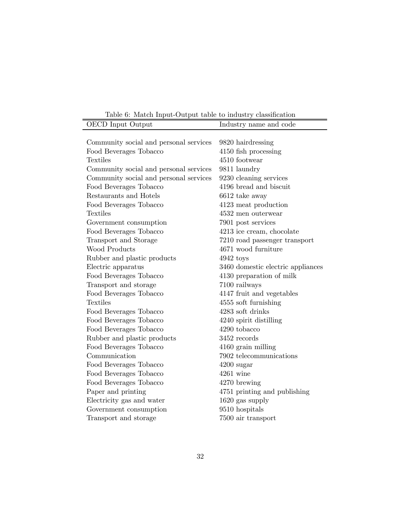Table 6: Match Input-Output table to industry classification

| <b>OECD</b> Input Output               | Industry name and code            |
|----------------------------------------|-----------------------------------|
|                                        |                                   |
| Community social and personal services | 9820 hairdressing                 |
| Food Beverages Tobacco                 | 4150 fish processing              |
| <b>Textiles</b>                        | 4510 footwear                     |
| Community social and personal services | 9811 laundry                      |
| Community social and personal services | 9230 cleaning services            |
| Food Beverages Tobacco                 | 4196 bread and biscuit            |
| Restaurants and Hotels                 | 6612 take away                    |
| Food Beverages Tobacco                 | 4123 meat production              |
| <b>Textiles</b>                        | 4532 men outerwear                |
| Government consumption                 | 7901 post services                |
| Food Beverages Tobacco                 | 4213 ice cream, chocolate         |
| Transport and Storage                  | 7210 road passenger transport     |
| Wood Products                          | 4671 wood furniture               |
| Rubber and plastic products            | $4942$ toys                       |
| Electric apparatus                     | 3460 domestic electric appliances |
| Food Beverages Tobacco                 | 4130 preparation of milk          |
| Transport and storage                  | 7100 railways                     |
| Food Beverages Tobacco                 | 4147 fruit and vegetables         |
| <b>Textiles</b>                        | 4555 soft furnishing              |
| Food Beverages Tobacco                 | 4283 soft drinks                  |
| Food Beverages Tobacco                 | 4240 spirit distilling            |
| Food Beverages Tobacco                 | 4290 tobacco                      |
| Rubber and plastic products            | $3452$ records                    |
| Food Beverages Tobacco                 | 4160 grain milling                |
| Communication                          | 7902 telecommunications           |
| Food Beverages Tobacco                 | $4200$ sugar                      |
| Food Beverages Tobacco                 | $4261$ wine                       |
| Food Beverages Tobacco                 | 4270 brewing                      |
| Paper and printing                     | 4751 printing and publishing      |
| Electricity gas and water              | 1620 gas supply                   |
| Government consumption                 | 9510 hospitals                    |
| Transport and storage                  | 7500 air transport                |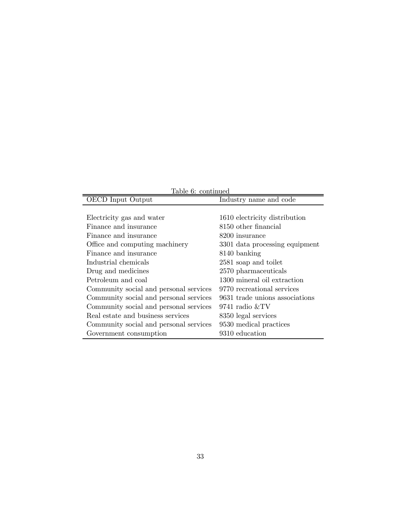| Table 6: continued                     |                                |  |  |
|----------------------------------------|--------------------------------|--|--|
| OECD Input Output                      | Industry name and code         |  |  |
|                                        |                                |  |  |
| Electricity gas and water              | 1610 electricity distribution  |  |  |
| Finance and insurance                  | 8150 other financial           |  |  |
| Finance and insurance                  | 8200 insurance                 |  |  |
| Office and computing machinery         | 3301 data processing equipment |  |  |
| Finance and insurance                  | 8140 banking                   |  |  |
| Industrial chemicals                   | 2581 soap and toilet           |  |  |
| Drug and medicines                     | 2570 pharmaceuticals           |  |  |
| Petroleum and coal                     | 1300 mineral oil extraction    |  |  |
| Community social and personal services | 9770 recreational services     |  |  |
| Community social and personal services | 9631 trade unions associations |  |  |
| Community social and personal services | 9741 radio &TV                 |  |  |
| Real estate and business services      | 8350 legal services            |  |  |
| Community social and personal services | 9530 medical practices         |  |  |
| Government consumption                 | 9310 education                 |  |  |